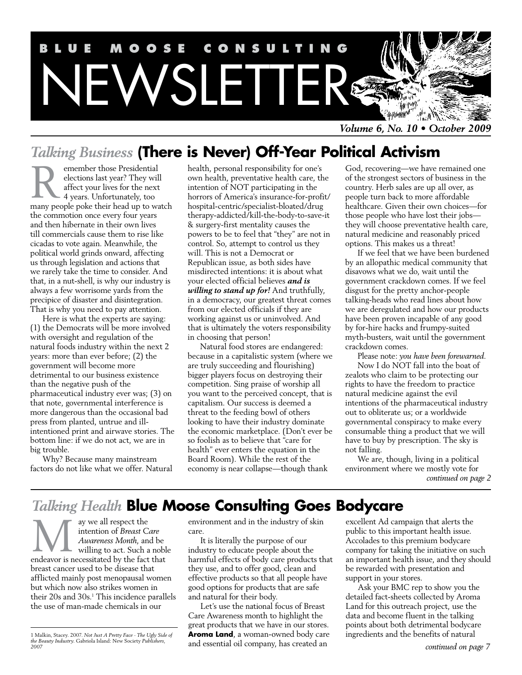

*Volume 6, No. 10 • October 2009*

# *Talking Business* **(There is Never) Off-Year Political Activism**

emember those Presidential elections last year? They will affect your lives for the next 4 years. Unfortunately, too emember those Presidential<br>elections last year? They will<br>affect your lives for the next<br>4 years. Unfortunately, too<br>many people poke their head up to watch the commotion once every four years and then hibernate in their own lives till commercials cause them to rise like cicadas to vote again. Meanwhile, the political world grinds onward, affecting us through legislation and actions that we rarely take the time to consider. And that, in a nut-shell, is why our industry is always a few worrisome yards from the precipice of disaster and disintegration. That is why you need to pay attention.

Here is what the experts are saying: (1) the Democrats will be more involved with oversight and regulation of the natural foods industry within the next 2 years: more than ever before; (2) the government will become more detrimental to our business existence than the negative push of the pharmaceutical industry ever was; (3) on that note, governmental interference is more dangerous than the occasional bad press from planted, untrue and illintentioned print and airwave stories. The bottom line: if we do not act, we are in big trouble.

Why? Because many mainstream factors do not like what we offer. Natural health, personal responsibility for one's own health, preventative health care, the intention of NOT participating in the horrors of America's insurance-for-profit/ hospital-centric/specialist-bloated/drug therapy-addicted/kill-the-body-to-save-it & surgery-first mentality causes the powers to be to feel that "they" are not in control. So, attempt to control us they will. This is not a Democrat or Republican issue, as both sides have misdirected intentions: it is about what your elected official believes *and is willing to stand up for!* And truthfully, in a democracy, our greatest threat comes from our elected officials if they are working against us or uninvolved. And that is ultimately the voters responsibility in choosing that person!

Natural food stores are endangered: because in a capitalistic system (where we are truly succeeding and flourishing) bigger players focus on destroying their competition. Sing praise of worship all you want to the perceived concept, that is capitalism. Our success is deemed a threat to the feeding bowl of others looking to have their industry dominate the economic marketplace. (Don't ever be so foolish as to believe that "care for health" ever enters the equation in the Board Room). While the rest of the economy is near collapse—though thank

God, recovering—we have remained one of the strongest sectors of business in the country. Herb sales are up all over, as people turn back to more affordable healthcare. Given their own choices—for those people who have lost their jobs they will choose preventative health care, natural medicine and reasonably priced options. This makes us a threat!

If we feel that we have been burdened by an allopathic medical community that disavows what we do, wait until the government crackdown comes. If we feel disgust for the pretty anchor-people talking-heads who read lines about how we are deregulated and how our products have been proven incapable of any good by for-hire hacks and frumpy-suited myth-busters, wait until the government crackdown comes.

Please note: *you have been forewarned.* Now I do NOT fall into the boat of zealots who claim to be protecting our rights to have the freedom to practice natural medicine against the evil intentions of the pharmaceutical industry out to obliterate us; or a worldwide governmental conspiracy to make every consumable thing a product that we will have to buy by prescription. The sky is not falling.

We are, though, living in a political environment where we mostly vote for *continued on page 2*

# *Talking Health* **Blue Moose Consulting Goes Bodycare**

ay we all respect the intention of *Breast Care Awareness Month*, and be willing to act. Such a noble ay we all respect the<br>
intention of *Breast Care*<br>
Awareness Month, and be<br>
willing to act. Such a noble<br>
endeavor is necessitated by the fact that breast cancer used to be disease that afflicted mainly post menopausal women but which now also strikes women in their 20s and 30s.1 This incidence parallels the use of man-made chemicals in our

environment and in the industry of skin care.

It is literally the purpose of our industry to educate people about the harmful effects of body care products that they use, and to offer good, clean and effective products so that all people have good options for products that are safe and natural for their body.

Let's use the national focus of Breast Care Awareness month to highlight the great products that we have in our stores. **Aroma Land**, a woman-owned body care excellent Ad campaign that alerts the public to this important health issue. Accolades to this premium bodycare company for taking the initiative on such an important health issue, and they should be rewarded with presentation and support in your stores.

Ask your BMC rep to show you the detailed fact-sheets collected by Aroma Land for this outreach project, use the data and become fluent in the talking points about both detrimental bodycare ingredients and the benefits of natural

and essential oil company, has created an *<sup>2007</sup> continued on page 7*1 Malkin, Stacey. 2007. *Not Just A Pretty Face - The Ugly Side of the Beauty Industry*. Gabriola Island: New Society *Publishers,*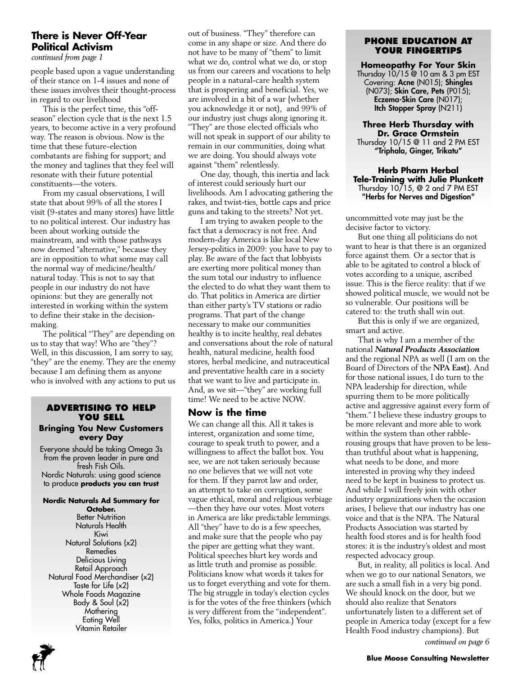# **There is Never Off-Year Political Activism**

*continued from page 1*

people based upon a vague understanding of their stance on 1-4 issues and none of these issues involves their thought-process in regard to our livelihood

This is the perfect time, this "offseason" election cycle that is the next 1.5 years, to become active in a very profound way. The reason is obvious. Now is the time that these future-election combatants are fishing for support; and the money and taglines that they feel will resonate with their future potential constituents—the voters.

From my casual observations, I will state that about 99% of all the stores I visit (9-states and many stores) have little to no political interest. Our industry has been about working outside the mainstream, and with those pathways now deemed "alternative," because they are in opposition to what some may call the normal way of medicine/health/ natural today. This is not to say that people in our industry do not have opinions: but they are generally not interested in working within the system to define their stake in the decisionmaking.

The political "They" are depending on us to stay that way! Who are "they"? Well, in this discussion, I am sorry to say, "they" are the enemy. They are the enemy because I am defining them as anyone who is involved with any actions to put us

#### **Advertising to Help You Sell Bringing You New Customers every Day**

Everyone should be taking Omega 3s from the proven leader in pure and fresh Fish Oils. Nordic Naturals: using good science to produce **products you can trust**

#### **Nordic Naturals Ad Summary for October.**

**Better Nutrition** Naturals Health Kiwi Natural Solutions (x2) Remedies Delicious Living Retail Approach Natural Food Merchandiser (x2) Taste for Life (x2) Whole Foods Magazine Body & Soul (x2) **Mothering** Eating Well Vitamin Retailer

out of business. "They" therefore can come in any shape or size. And there do not have to be many of "them" to limit what we do, control what we do, or stop us from our careers and vocations to help people in a natural-care health system that is prospering and beneficial. Yes, we are involved in a bit of a war {whether you acknowledge it or not), and 99% of our industry just chugs along ignoring it. "They" are those elected officials who will not speak in support of our ability to remain in our communities, doing what we are doing. You should always vote against "them" relentlessly.

One day, though, this inertia and lack of interest could seriously hurt our livelihoods. Am I advocating gathering the rakes, and twist-ties, bottle caps and price guns and taking to the streets? Not yet.

I am trying to awaken people to the fact that a democracy is not free. And modern-day America is like local New Jersey-politics in 2009: you have to pay to play. Be aware of the fact that lobbyists are exerting more political money than the sum total our industry to influence the elected to do what they want them to do. That politics in America are dirtier than either party's TV stations or radio programs. That part of the change necessary to make our communities healthy is to incite healthy, real debates and conversations about the role of natural health, natural medicine, health food stores, herbal medicine, and nutraceutical and preventative health care in a society that we want to live and participate in. And, as we sit—"they" are working full time! We need to be active NOW.

# **Now is the time**

We can change all this. All it takes is interest, organization and some time, courage to speak truth to power, and a willingness to affect the ballot box. You see, we are not taken seriously because no one believes that we will not vote for them. If they parrot law and order, an attempt to take on corruption, some vague ethical, moral and religious verbiage —then they have our votes. Most voters in America are like predictable lemmings. All "they" have to do is a few speeches, and make sure that the people who pay the piper are getting what they want. Political speeches blurt key words and as little truth and promise as possible. Politicians know what words it takes for us to forget everything and vote for them. The big struggle in today's election cycles is for the votes of the free thinkers (which is very different from the "independent". Yes, folks, politics in America.) Your

### **phone education at your fingertips**

## **Homeopathy For Your Skin**

Thursday 10/15 @ 10 am & 3 pm EST Covering: Acne (N015); Shingles (N073); Skin Care, Pets (P015); Eczema-Skin Care (N017); Itch Stopper Spray (N211)

# **Three Herb Thursday with Dr. Grace Ormstein**

Thursday 10/15 @ 11 and 2 PM EST "Triphala, Ginger, Trikatu"

#### **Herb Pharm Herbal Tele-Training with Julie Plunkett** Thursday 10/15, @ 2 and 7 PM EST "Herbs for Nerves and Digestion"

uncommitted vote may just be the decisive factor to victory.

But one thing all politicians do not want to hear is that there is an organized force against them. Or a sector that is able to be agitated to control a block of votes according to a unique, ascribed issue. This is the fierce reality: that if we showed political muscle, we would not be so vulnerable. Our positions will be catered to: the truth shall win out.

But this is only if we are organized, smart and active.

That is why I am a member of the national *Natural Products Association*  and the regional NPA as well (I am on the Board of Directors of the **NPA East**). And for those national issues, I do turn to the NPA leadership for direction, while spurring them to be more politically active and aggressive against every form of "them." I believe these industry groups to be more relevant and more able to work within the system than other rabblerousing groups that have proven to be lessthan truthful about what is happening, what needs to be done, and more interested in proving why they indeed need to be kept in business to protect us. And while I will freely join with other industry organizations when the occasion arises, I believe that our industry has one voice and that is the NPA. The Natural Products Association was started by health food stores and is for health food stores: it is the industry's oldest and most respected advocacy group.

But, in reality, all politics is local. And when we go to our national Senators, we are such a small fish in a very big pond. We should knock on the door, but we should also realize that Senators unfortunately listen to a different set of people in America today (except for a few Health Food industry champions). But

*continued on page 6*

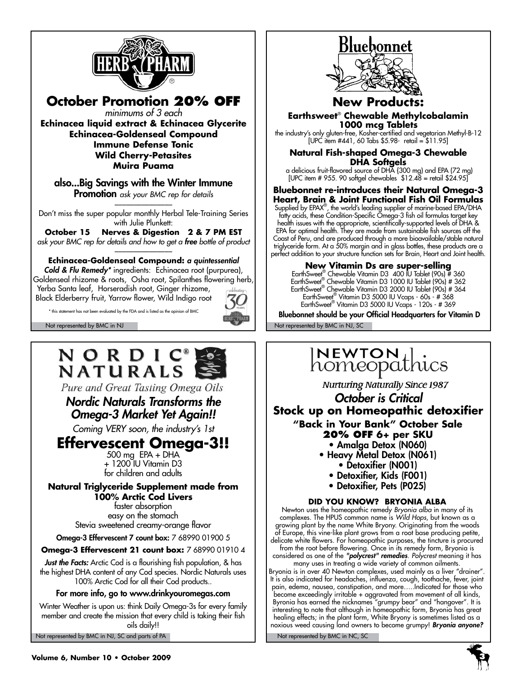

**October Promotion 20% off** *minimums of 3 each*

**Echinacea liquid extract & Echinacea Glycerite Echinacea-Goldenseal Compound Immune Defense Tonic Wild Cherry-Petasites Muira Puama**

also...Big Savings with the Winter Immune **Promotion** ask your BMC rep for details

Don't miss the super popular monthly Herbal Tele-Training Series with Julie Plunkett:

**October 15 Nerves & Digestion 2 & 7 PM EST** *ask your BMC rep for details and how to get a free bottle of product* \_\_\_\_\_\_\_\_\_\_\_\_\_\_\_

**Echinacea-Goldenseal Compound:** *a quintessential* 

*Cold & Flu Remedy\** ingredients: Echinacea root (purpurea), Goldenseal rhizome & roots, Osha root, Spilanthes flowering herb, Yerba Santa leaf, Horseradish root, Ginger rhizome,

Black Elderberry fruit, Yarrow flower, Wild Indigo root

\* this statement has not been evaluated by the FDA and is listed as the opinion of BMC



# NORDIC® **NATURALS**

Pure and Great Tasting Omega Oils

*Nordic Naturals Transforms the Omega-3 Market Yet Again!!*

*Coming VERY soon, the industry's 1st* 

# **Effervescent Omega-3!!**<br>500 mg EPA + DHA

+ 1200 IU Vitamin D3 for children and adults

### **Natural Triglyceride Supplement made from 100% Arctic Cod Livers**

faster absorption easy on the stomach Stevia sweetened creamy-orange flavor

Omega-3 Effervescent 7 count box: 7 68990 01900 5

**Omega-3 Effervescent 21 count box:** 7 68990 01910 4

*Just the Facts:* Arctic Cod is a flourishing fish population, & has the highest DHA content of any Cod species. Nordic Naturals uses 100% Arctic Cod for all their Cod products..

For more info, go to www.drinkyouromegas.com

Winter Weather is upon us: think Daily Omega-3s for every family member and create the mission that every child is taking their fish oils daily!!

Not represented by BMC in NJ, SC and parts of PA Not represented by BMC in NC, SC



# **New Produ**

**Earthsweet**®  **Chewable Methylcobalamin 1000 mcg Tablets**

the industry's only gluten-free, Kosher-certified and vegetarian Methyl-B-12 [UPC item #441, 60 Tabs \$5.98- retail = \$11.95]

**Natural Fish-shaped Omega-3 Chewable DHA Softgels**

 a delicious fruit-flavored source of DHA {300 mg) and EPA (72 mg) [UPC item # 955. 90 softgel chewables \$12.48 = retail \$24.95]

#### **Bluebonnet re-introduces their Natural Omega-3 Heart, Brain & Joint Functional Fish Oil Formulas**

Supplied by EPAX® , the world's leading supplier of marine-based EPA/DHA fatty acids, these Condition-Specific Omega-3 fish oil formulas target key health issues with the appropriate, scientifically-supported levels of DHA & EPA for optimal health. They are made from sustainable fish sources off the Coast of Peru, and are produced through a more bioavailable/stable natural triglyceride form. At a 50% margin and in glass bottles, these products are a perfect addition to your structure function sets for Brain, Heart and Joint health.

**New Vitamin Ds are super-selling**<br>EarthSweet® Chewable Vitamin D3 400 IU Tablet (90s) # 360<br>EarthSweet® Chewable Vitamin D3 1000 IU Tablet (90s) # 362 EarthSweet® Chewable Vitamin D3 2000 IU Tablet (90s) # 364 EarthSweet® Vitamin D3 5000 IU Vcaps - 60s - # 368 EarthSweet® Vitamin D3 5000 IU Vcaps - 120s - # 369

Not represented by BMC in NJ Not represented by BMC in NJ, SC Bluebonnet should be your Official Headquarters for Vitamin D

# INEWTON , homeopathics

**Nurturing Naturally Since 1987** 

*October is Critical* **Stock up on Homeopathic detoxifier "Back in Your Bank" October Sale** 

- **20% OFF 6+ per SKU**
	- Amalga Detox (N060)
- Heavy Metal Detox (N061)
	- Detoxifier (N001)
	- Detoxifier, Kids (F001)
	- Detoxifier, Pets (P025)

## **DID YOU KNOW? BRYONIA ALBA**

Newton uses the homeopathic remedy *Bryonia alba* in many of its complexes. The HPUS common name is *Wild Hops*, but known as a growing plant by the name White Bryony. Originating from the woods of Europe, this vine-like plant grows from a root base producing petite, delicate white flowers. For homeopathic purposes, the tincture is procured from the root before flowering. Once in its remedy form, Bryonia is considered as one of the *"polycrest" remedies*. *Polycrest* meaning it has

many uses in treating a wide variety of common ailments. Bryonia is in over 40 Newton complexes, used mainly as a liver "drainer". It is also indicated for headaches, influenza, cough, toothache, fever, joint pain, edema, nausea, constipation, and more…..Indicated for those who become exceedingly irritable + aggravated from movement of all kinds, Byronia has earned the nicknames "grumpy bear" and "hangover". It is interesting to note that although in homeopathic form, Bryonia has great healing effects; in the plant form, White Bryony is sometimes listed as a noxious weed causing land owners to become grumpy! *Bryonia anyone?*

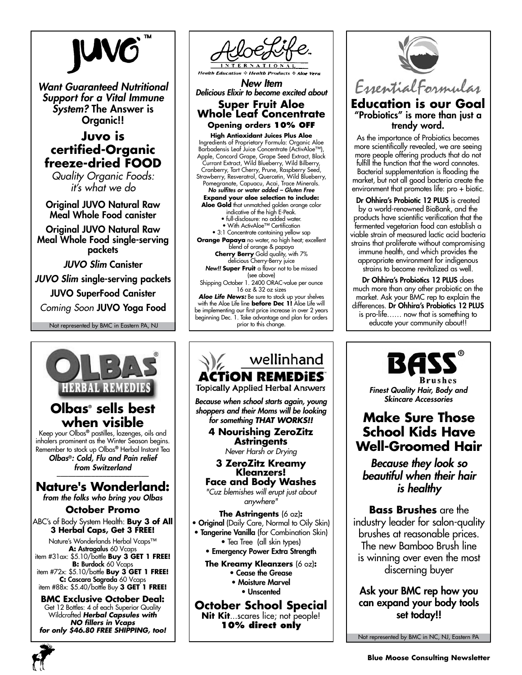

*Want Guaranteed Nutritional Support for a Vital Immune System?* The Answer is Organic!!

# **Juvo is certified-Organic freeze-dried FOOD**

*Quality Organic Foods: it's what we do*

Original JUVO Natural Raw Meal Whole Food canister

Original JUVO Natural Raw Meal Whole Food single-serving packets

*JUVO Slim* Canister

*JUVO Slim* single-serving packets

JUVO SuperFood Canister

Not represented by BMC in Eastern PA, NJ *Coming Soon* JUVO Yoga Food





*New Item Delicious Elixir to become excited about*

**Super Fruit Aloe Whole Leaf Concentrate Opening orders 10% off**

**High Antioxidant Juices Plus Aloe** Ingredients of Proprietary Formula: Organic Aloe Barbadensis Leaf Juice Concentrate (ActivAloe™), Apple, Concord Grape, Grape Seed Extract, Black Currant Extract, Wild Blueberry, Wild Bilberry, Cranberry, Tart Cherry, Prune, Raspberry Seed, Strawberry, Resveratrol, Quercetin, Wild Blueberry, Pomegranate, Capuacu, Acai, Trace Minerals. *No sulfites or water added – Gluten Free* **Expand your aloe selection to include:**

**Aloe Gold** that unmatched golden orange color

indicative of the high E-Peak. • full-disclosure: no added water.

• With ActivAloe™ Certification

• 3:1 Concentrate containing yellow sap **Orange Papaya** no water, no high heat; excellent blend of orange & papaya

**Cherry Berry** Gold quality, with 7% delicious Cherry-Berry juice *New!!* **Super Fruit** a flavor not to be missed (see above) Shipping October 1. 2400 ORAC-value per ounce 16 oz & 32 oz sizes

*Aloe Life News:* Be sure to stock up your shelves with the Aloe Life line **before Dec 1!** Aloe Life will be implementing our first price increase in over 2 years beginning Dec. 1. Take advantage and plan for orders prior to this change.



**October School Special Nit Kit**...scares lice; not people! **10% direct only**



**Education is our Goal** "Probiotics" is more than just a trendy word.

As the importance of Probiotics becomes more scientifically revealed, we are seeing more people offering products that do not fulfill the function that the word connotes. Bacterial supplementation is flooding the market, but not all good bacteria create the environment that promotes life: pro + biotic.

Dr Ohhira's Probiotic 12 PLUS is created by a world-renowned BioBank, and the products have scientific verification that the fermented vegetarian food can establish a viable strain of measured lactic acid bacteria strains that proliferate without compromising immune health, and which provides the appropriate environment for indigenous strains to become revitalized as well.

Dr Ohhira's Probiotics 12 PLUS does much more than any other probiotic on the market. Ask your BMC rep to explain the differences. Dr Ohhira's Probiotics 12 PLUS is pro-life…… now that is something to educate your community about!!



*Finest Quality Hair, Body and Skincare Accessories*

# **Make Sure Those School Kids Have Well-Groomed Hair**

*Because they look so beautiful when their hair is healthy*

**Bass Brushes** are the industry leader for salon-quality brushes at reasonable prices. The new Bamboo Brush line is winning over even the most discerning buyer

Ask your BMC rep how you can expand your body tools set today!!

Not represented by BMC in NC, NJ, Eastern PA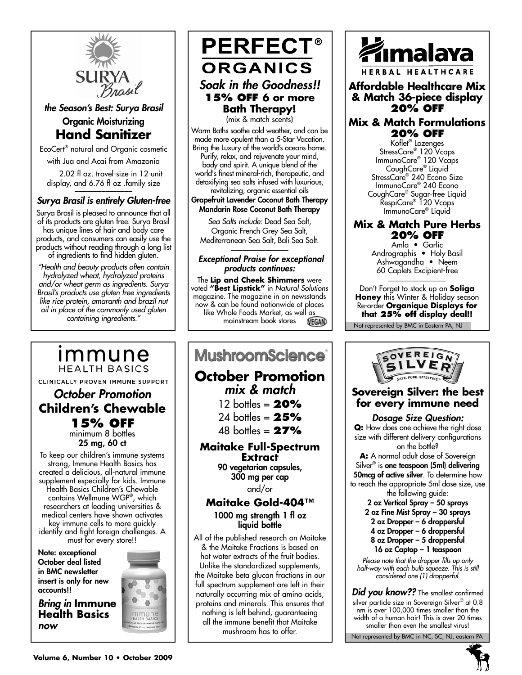

*the Season's Best: Surya Brasil*

# Organic Moisturizing **Hand Sanitizer**

EcoCert® natural and Organic cosmetic with Jua and Acai from Amazonia

 2.02 fl oz. travel-size in 12-unit display, and 6.76 fl oz .family size

# *Surya Brasil is entirely Gluten-free*

Surya Brasil is pleased to announce that all of its products are gluten free. Surya Brasil has unique lines of hair and body care products, and consumers can easily use the products without reading through a long list of ingredients to find hidden gluten.

*"Health and beauty products often contain hydrolyzed wheat, hydrolyzed proteins and/or wheat germ as ingredients. Surya Brasil's products use gluten free ingredients like rice protein, amaranth and brazil nut oil in place of the commonly used gluten containing ingredients."*

# immune **HEALTH BASICS**

CLINICALLY PROVEN IMMUNE SUPPORT

# *October Promotion* **Children's Chewable 15% off**

minimum 8 bottles 25 mg, 60 ct

To keep our children's immune systems strong, Immune Health Basics has created a delicious, all-natural immune supplement especially for kids. Immune Health Basics Children's Chewable contains Wellmune WGP® , which researchers at leading universities & medical centers have shown activates key immune cells to more quickly identify and fight foreign challenges. A must for every store!!

Note: exceptional October deal listed in BMC newsletter insert is only for new accounts!!

*Bring in* **Immune Health Basics** *now*



All of the published research on Maitake & the Maitake Fractions is based on hot water extracts of the fruit bodies. Unlike the standardized supplements, the Maitake beta glucan fractions in our

full spectrum supplement are left in their naturally occurring mix of amino acids, proteins and minerals. This ensures that nothing is left behind, guaranteeing all the immune benefit that Maitake mushroom has to offer.

**MushroomScience**®

**October Promotion** *mix & match* 12 bottles = **20%** 24 bottles = **25%** 48 bottles = **27% Maitake Full-Spectrum Extract** 90 vegetarian capsules, 300 mg per cap and/or **Maitake Gold-404™** 1000 mg strength 1 fl oz liquid bottle

 *Exceptional Praise for exceptional products continues:* The **Lip and Cheek Shimmers** were voted **"Best Lipstick"** in *Natural Solutions* magazine. The magazine in on newsstands now & can be found nationwide at places like Whole Foods Market, as well as<br>mainstream book stores **VEGAN** mainstream book stores

*Soak in the Goodness!!* **15% off 6 or more Bath Therapy!**  (mix & match scents) Warm Baths soothe cold weather, and can be made more opulent than a 5-Star Vacation. Bring the Luxury of the world's oceans home. Purify, relax, and rejuvenate your mind, body and spirit. A unique blend of the world's finest mineral-rich, therapeutic, and detoxifying sea salts infused with luxurious, revitalizing, organic essential oils Grapefruit Lavender Coconut Bath Therapy Mandarin Rose Coconut Bath Therapy *Sea Salts include:* Dead Sea Salt, Organic French Grey Sea Salt, Mediterranean Sea Salt, Bali Sea Salt. \_\_\_\_\_\_\_\_\_\_\_\_\_\_\_

**ORGANICS** 

**PERFECT®** 



**Affordable Healthcare Mix & Match 36-piece display 20% off**

# **Mix & Match Formulations 20% off**

Koflet® Lozenges StressCare® 120 Vcaps ImmunoCare® 120 Vcaps CoughCare® Liquid StressCare® 240 Econo Size ImmunoCare® 240 Econo CoughCare® Sugar-free Liquid RespiCare® 120 Vcaps ImmunoCare® Liquid

# **Mix & Match Pure Herbs 20% off**

Amla • Garlic Andrographis • Holy Basil Ashwagandha • Neem 60 Caplets Excipient-free \_\_\_\_\_\_\_\_\_\_\_\_\_\_\_

Don't Forget to stock up on **Soliga Honey** this Winter & Holiday season Re-order **Organique Displays for that 25% off display deal!!**

Not represented by BMC in Eastern PA, NJ



# **Sovereign Silver: the best for every immune need**

# *Dosage Size Question:*

**Q:** How does one achieve the right dose size with different delivery configurations on the bottle?

**A:** A normal adult dose of Sovereign Silver® is one teaspoon (5ml) delivering 50mcg of active silver. To determine how to reach the appropriate 5ml dose size, use the following guide:

2 oz Vertical Spray – 50 sprays

2 oz Fine Mist Spray – 30 sprays

2 oz Dropper – 6 droppersful

4 oz Dropper – 6 droppersful

8 oz Dropper – 5 droppersful 16 oz Captop – 1 teaspoon

*Please note that the dropper fills up only half-way with each bulb squeeze. This is still considered one (1) dropperful.*

Not represented by BMC in NC, SC, NJ, eastern PA *Did you know??* The smallest confirmed silver particle size in Sovereign Silver® at 0.8 nm is over 100,000 times smaller than the width of a human hair! This is over 20 times smaller than even the smallest virus!

**Volume 6, Number 10 • October 2009 5**

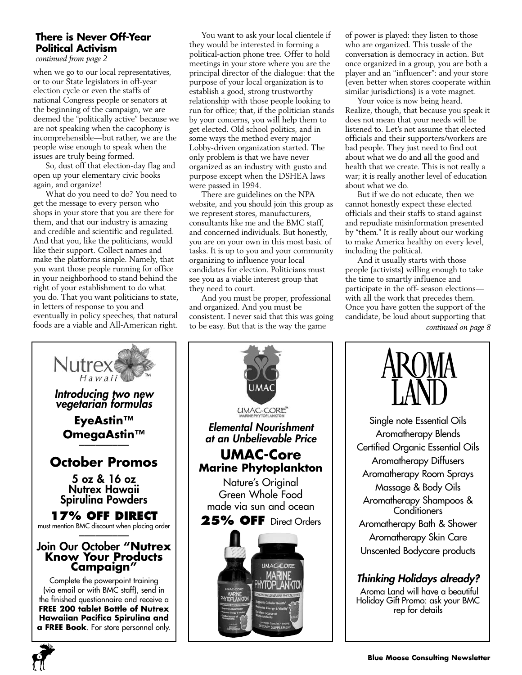# **There is Never Off-Year Political Activism**

*continued from page 2*

when we go to our local representatives, or to our State legislators in off-year election cycle or even the staffs of national Congress people or senators at the beginning of the campaign, we are deemed the "politically active" because we are not speaking when the cacophony is incomprehensible—but rather, we are the people wise enough to speak when the issues are truly being formed.

So, dust off that election-day flag and open up your elementary civic books again, and organize!

What do you need to do? You need to get the message to every person who shops in your store that you are there for them, and that our industry is amazing and credible and scientific and regulated. And that you, like the politicians, would like their support. Collect names and make the platforms simple. Namely, that you want those people running for office in your neighborhood to stand behind the right of your establishment to do what you do. That you want politicians to state, in letters of response to you and eventually in policy speeches, that natural foods are a viable and All-American right.

You want to ask your local clientele if they would be interested in forming a political-action phone tree. Offer to hold meetings in your store where you are the principal director of the dialogue: that the purpose of your local organization is to establish a good, strong trustworthy relationship with those people looking to run for office; that, if the politician stands by your concerns, you will help them to get elected. Old school politics, and in some ways the method every major Lobby-driven organization started. The only problem is that we have never organized as an industry with gusto and purpose except when the DSHEA laws were passed in 1994.

There are guidelines on the NPA website, and you should join this group as we represent stores, manufacturers, consultants like me and the BMC staff, and concerned individuals. But honestly, you are on your own in this most basic of tasks. It is up to you and your community organizing to influence your local candidates for election. Politicians must see you as a viable interest group that they need to court.

And you must be proper, professional and organized. And you must be consistent. I never said that this was going to be easy. But that is the way the game

of power is played: they listen to those who are organized. This tussle of the conversation is democracy in action. But once organized in a group, you are both a player and an "influencer": and your store (even better when stores cooperate within similar jurisdictions) is a vote magnet.

Your voice is now being heard. Realize, though, that because you speak it does not mean that your needs will be listened to. Let's not assume that elected officials and their supporters/workers are bad people. They just need to find out about what we do and all the good and health that we create. This is not really a war; it is really another level of education about what we do.

But if we do not educate, then we cannot honestly expect these elected officials and their staffs to stand against and repudiate misinformation presented by "them." It is really about our working to make America healthy on every level, including the political.

And it usually starts with those people (activists) willing enough to take the time to smartly influence and participate in the off- season elections with all the work that precedes them. Once you have gotten the support of the candidate, be loud about supporting that *continued on page 8*







Single note Essential Oils Aromatherapy Blends Certified Organic Essential Oils Aromatherapy Diffusers Aromatherapy Room Sprays Massage & Body Oils Aromatherapy Shampoos & **Conditioners** Aromatherapy Bath & Shower Aromatherapy Skin Care Unscented Bodycare products

# *Thinking Holidays already?*

 Aroma Land will have a beautiful Holiday Gift Promo: ask your BMC rep for details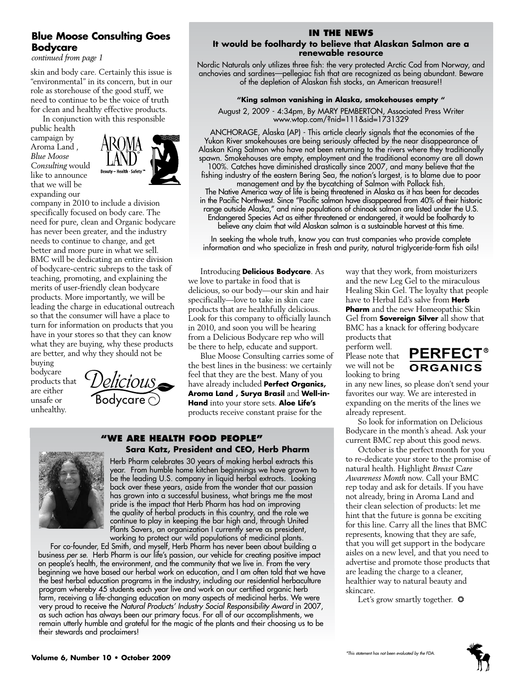# **Blue Moose Consulting Goes Bodycare**

*continued from page 1*

skin and body care. Certainly this issue is "environmental" in its concern, but in our role as storehouse of the good stuff, we need to continue to be the voice of truth for clean and healthy effective products.

In conjunction with this responsible

public health campaign by Aroma Land , *Blue Moose Consulting* would like to announce that we will be expanding our



company in 2010 to include a division specifically focused on body care. The need for pure, clean and Organic bodycare has never been greater, and the industry needs to continue to change, and get better and more pure in what we sell. BMC will be dedicating an entire division of bodycare-centric subreps to the task of teaching, promoting, and explaining the merits of user-friendly clean bodycare products. More importantly, we will be leading the charge in educational outreach so that the consumer will have a place to turn for information on products that you have in your stores so that they can know what they are buying, why these products are better, and why they should not be

buying bodycare products that are either unsafe or unhealthy.



# **In the News**

#### **It would be foolhardy to believe that Alaskan Salmon are a renewable resource**

Nordic Naturals only utilizes three fish: the very protected Arctic Cod from Norway, and anchovies and sardines—pellegiac fish that are recognized as being abundant. Beware of the depletion of Alaskan fish stocks, an American treasure!!

#### **"King salmon vanishing in Alaska, smokehouses empty "**

August 2, 2009 - 4:34pm, By MARY PEMBERTON, Associated Press Writer www.wtop.com/?nid=111&sid=1731329

 ANCHORAGE, Alaska (AP) - This article clearly signals that the economies of the Yukon River smokehouses are being seriously affected by the near disappearance of Alaskan King Salmon who have not been returning to the rivers where they traditionally spawn. Smokehouses are empty, employment and the traditional economy are all down 100%. Catches have diminished drastically since 2007, and many believe that the fishing industry of the eastern Bering Sea, the nation's largest, is to blame due to poor

management and by the bycatching of Salmon with Pollack fish. The Native America way of life is being threatened in Alaska as it has been for decades in the Pacific Northwest. Since "Pacific salmon have disappeared from 40% of their historic range outside Alaska," and nine populations of chinook salmon are listed under the U.S. Endangered Species Act as either threatened or endangered, it would be foolhardy to believe any claim that wild Alaskan salmon is a sustainable harvest at this time.

In seeking the whole truth, know you can trust companies who provide complete information and who specialize in fresh and purity, natural triglyceride-form fish oils!

Introducing **Delicious Bodycare**. As we love to partake in food that is delicious, so our body—our skin and hair specifically—love to take in skin care products that are healthfully delicious. Look for this company to officially launch in 2010, and soon you will be hearing from a Delicious Bodycare rep who will be there to help, educate and support.

Blue Moose Consulting carries some of the best lines in the business: we certainly feel that they are the best. Many of you have already included **Perfect Organics, Aroma Land , Surya Brasil** and **Well-in-Hand** into your store sets. **Aloe Life's** products receive constant praise for the

#### **"We Are health food people" Sara Katz, President and CEO, Herb Pharm**



Herb Pharm celebrates 30 years of making herbal extracts this year. From humble home kitchen beginnings we have grown to be the leading U.S. company in liquid herbal extracts. Looking back over these years, aside from the wonder that our passion has grown into a successful business, what brings me the most pride is the impact that Herb Pharm has had on improving the quality of herbal products in this country, and the role we continue to play in keeping the bar high and, through United Plants Savers, an organization I currently serve as president, working to protect our wild populations of medicinal plants.

For co-founder, Ed Smith, and myself, Herb Pharm has never been about building a business *per se*. Herb Pharm is our life's passion, our vehicle for creating positive impact on people's health, the environment, and the community that we live in. From the very beginning we have based our herbal work on education, and I am often told that we have the best herbal education programs in the industry, including our residential herbaculture program whereby 45 students each year live and work on our certified organic herb farm, receiving a life-changing education on many aspects of medicinal herbs. We were very proud to receive the *Natural Products' Industry Social Responsibility Award* in 2007, as such action has always been our primary focus. For all of our accomplishments, we remain utterly humble and grateful for the magic of the plants and their choosing us to be their stewards and proclaimers!

way that they work, from moisturizers and the new Leg Gel to the miraculous Healing Skin Gel. The loyalty that people have to Herbal Ed's salve from **Herb Pharm** and the new Homeopathic Skin Gel from **Sovereign Silver** all show that BMC has a knack for offering bodycare products that

perform well. Please note that we will not be looking to bring



in any new lines, so please don't send your favorites our way. We are interested in expanding on the merits of the lines we already represent.

So look for information on Delicious Bodycare in the month's ahead. Ask your current BMC rep about this good news.

October is the perfect month for you to re-dedicate your store to the promise of natural health. Highlight *Breast Care Awareness Month* now. Call your BMC rep today and ask for details. If you have not already, bring in Aroma Land and their clean selection of products: let me hint that the future is gonna be exciting for this line. Carry all the lines that BMC represents, knowing that they are safe, that you will get support in the bodycare aisles on a new level, and that you need to advertise and promote those products that are leading the charge to a cleaner, healthier way to natural beauty and skincare.

Let's grow smartly together.  $\bullet$